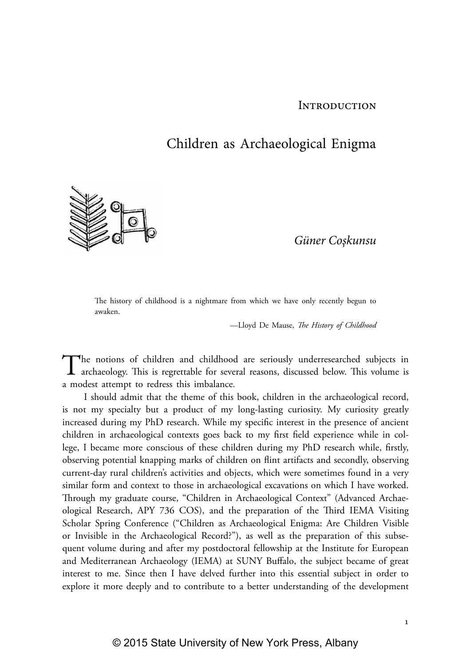### **INTRODUCTION**

# Children as Archaeological Enigma



*Güner Coşkunsu*

The history of childhood is a nightmare from which we have only recently begun to awaken.

—Lloyd De Mause, *The History of Childhood*

The notions of children and childhood are seriously underresearched subjects in archaeology. This is regrettable for several reasons, discussed below. This volume is a modest attempt to redress this imbalance.

I should admit that the theme of this book, children in the archaeological record, is not my specialty but a product of my long-lasting curiosity. My curiosity greatly increased during my PhD research. While my specific interest in the presence of ancient children in archaeological contexts goes back to my first field experience while in college, I became more conscious of these children during my PhD research while, firstly, observing potential knapping marks of children on flint artifacts and secondly, observing current-day rural children's activities and objects, which were sometimes found in a very similar form and context to those in archaeological excavations on which I have worked. Through my graduate course, "Children in Archaeological Context" (Advanced Archaeological Research, APY 736 COS), and the preparation of the Third IEMA Visiting Scholar Spring Conference ("Children as Archaeological Enigma: Are Children Visible or Invisible in the Archaeological Record?"), as well as the preparation of this subsequent volume during and after my postdoctoral fellowship at the Institute for European and Mediterranean Archaeology (IEMA) at SUNY Buffalo, the subject became of great interest to me. Since then I have delved further into this essential subject in order to explore it more deeply and to contribute to a better understanding of the development

1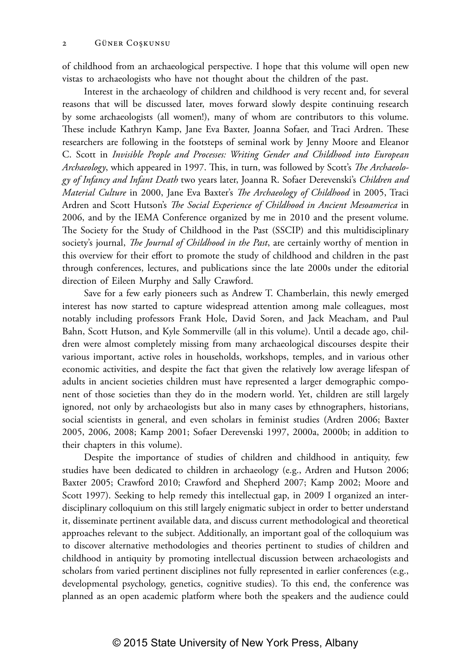of childhood from an archaeological perspective. I hope that this volume will open new vistas to archaeologists who have not thought about the children of the past.

Interest in the archaeology of children and childhood is very recent and, for several reasons that will be discussed later, moves forward slowly despite continuing research by some archaeologists (all women!), many of whom are contributors to this volume. These include Kathryn Kamp, Jane Eva Baxter, Joanna Sofaer, and Traci Ardren. These researchers are following in the footsteps of seminal work by Jenny Moore and Eleanor C. Scott in *Invisible People and Processes: Writing Gender and Childhood into European Archaeology*, which appeared in 1997. This, in turn, was followed by Scott's *The Archaeology of Infancy and Infant Death* two years later, Joanna R. Sofaer Derevenski's *Children and Material Culture* in 2000, Jane Eva Baxter's *The Archaeology of Childhood* in 2005, Traci Ardren and Scott Hutson's *The Social Experience of Childhood in Ancient Mesoamerica* in 2006, and by the IEMA Conference organized by me in 2010 and the present volume. The Society for the Study of Childhood in the Past (SSCIP) and this multidisciplinary society's journal, *The Journal of Childhood in the Past*, are certainly worthy of mention in this overview for their effort to promote the study of childhood and children in the past through conferences, lectures, and publications since the late 2000s under the editorial direction of Eileen Murphy and Sally Crawford.

Save for a few early pioneers such as Andrew T. Chamberlain, this newly emerged interest has now started to capture widespread attention among male colleagues, most notably including professors Frank Hole, David Soren, and Jack Meacham, and Paul Bahn, Scott Hutson, and Kyle Sommerville (all in this volume). Until a decade ago, children were almost completely missing from many archaeological discourses despite their various important, active roles in households, workshops, temples, and in various other economic activities, and despite the fact that given the relatively low average lifespan of adults in ancient societies children must have represented a larger demographic component of those societies than they do in the modern world. Yet, children are still largely ignored, not only by archaeologists but also in many cases by ethnographers, historians, social scientists in general, and even scholars in feminist studies (Ardren 2006; Baxter 2005, 2006, 2008; Kamp 2001; Sofaer Derevenski 1997, 2000a, 2000b; in addition to their chapters in this volume).

Despite the importance of studies of children and childhood in antiquity, few studies have been dedicated to children in archaeology (e.g., Ardren and Hutson 2006; Baxter 2005; Crawford 2010; Crawford and Shepherd 2007; Kamp 2002; Moore and Scott 1997). Seeking to help remedy this intellectual gap, in 2009 I organized an interdisciplinary colloquium on this still largely enigmatic subject in order to better understand it, disseminate pertinent available data, and discuss current methodological and theoretical approaches relevant to the subject. Additionally, an important goal of the colloquium was to discover alternative methodologies and theories pertinent to studies of children and childhood in antiquity by promoting intellectual discussion between archaeologists and scholars from varied pertinent disciplines not fully represented in earlier conferences (e.g., developmental psychology, genetics, cognitive studies). To this end, the conference was planned as an open academic platform where both the speakers and the audience could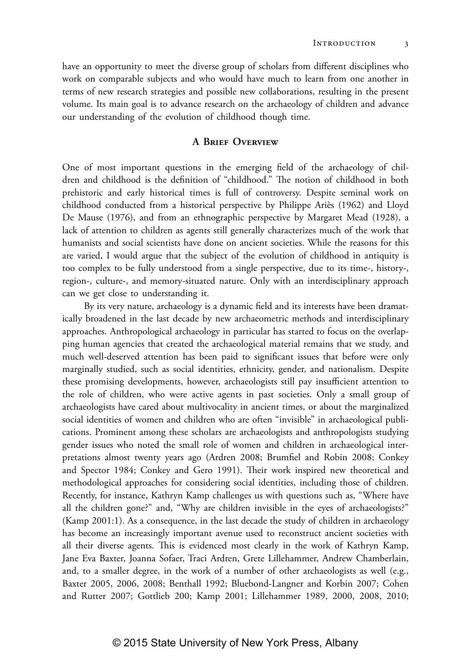have an opportunity to meet the diverse group of scholars from different disciplines who work on comparable subjects and who would have much to learn from one another in terms of new research strategies and possible new collaborations, resulting in the present volume. Its main goal is to advance research on the archaeology of children and advance our understanding of the evolution of childhood though time.

### **A Brief Overview**

One of most important questions in the emerging field of the archaeology of children and childhood is the definition of "childhood." The notion of childhood in both prehistoric and early historical times is full of controversy. Despite seminal work on childhood conducted from a historical perspective by Philippe Ariès (1962) and Lloyd De Mause (1976), and from an ethnographic perspective by Margaret Mead (1928), a lack of attention to children as agents still generally characterizes much of the work that humanists and social scientists have done on ancient societies. While the reasons for this are varied, I would argue that the subject of the evolution of childhood in antiquity is too complex to be fully understood from a single perspective, due to its time-, history-, region-, culture-, and memory-situated nature. Only with an interdisciplinary approach can we get close to understanding it.

By its very nature, archaeology is a dynamic field and its interests have been dramatically broadened in the last decade by new archaeometric methods and interdisciplinary approaches. Anthropological archaeology in particular has started to focus on the overlapping human agencies that created the archaeological material remains that we study, and much well-deserved attention has been paid to significant issues that before were only marginally studied, such as social identities, ethnicity, gender, and nationalism. Despite these promising developments, however, archaeologists still pay insufficient attention to the role of children, who were active agents in past societies. Only a small group of archaeologists have cared about multivocality in ancient times, or about the marginalized social identities of women and children who are often "invisible" in archaeological publications. Prominent among these scholars are archaeologists and anthropologists studying gender issues who noted the small role of women and children in archaeological interpretations almost twenty years ago (Ardren 2008; Brumfiel and Robin 2008; Conkey and Spector 1984; Conkey and Gero 1991). Their work inspired new theoretical and methodological approaches for considering social identities, including those of children. Recently, for instance, Kathryn Kamp challenges us with questions such as, "Where have all the children gone?" and, "Why are children invisible in the eyes of archaeologists?" (Kamp 2001:1). As a consequence, in the last decade the study of children in archaeology has become an increasingly important avenue used to reconstruct ancient societies with all their diverse agents. This is evidenced most clearly in the work of Kathryn Kamp, Jane Eva Baxter, Joanna Sofaer, Traci Ardren, Grete Lillehammer, Andrew Chamberlain, and, to a smaller degree, in the work of a number of other archaeologists as well (e.g., Baxter 2005, 2006, 2008; Benthall 1992; Bluebond-Langner and Korbin 2007; Cohen and Rutter 2007; Gottlieb 200; Kamp 2001; Lillehammer 1989, 2000, 2008, 2010;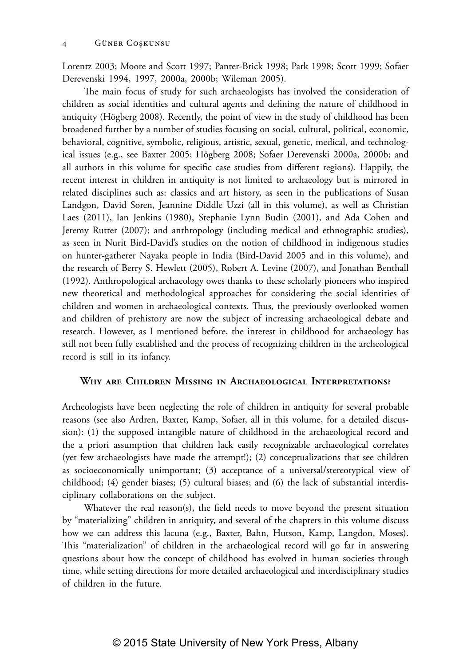Lorentz 2003; Moore and Scott 1997; Panter-Brick 1998; Park 1998; Scott 1999; Sofaer Derevenski 1994, 1997, 2000a, 2000b; Wileman 2005).

The main focus of study for such archaeologists has involved the consideration of children as social identities and cultural agents and defining the nature of childhood in antiquity (Högberg 2008). Recently, the point of view in the study of childhood has been broadened further by a number of studies focusing on social, cultural, political, economic, behavioral, cognitive, symbolic, religious, artistic, sexual, genetic, medical, and technological issues (e.g., see Baxter 2005; Högberg 2008; Sofaer Derevenski 2000a, 2000b; and all authors in this volume for specific case studies from different regions). Happily, the recent interest in children in antiquity is not limited to archaeology but is mirrored in related disciplines such as: classics and art history, as seen in the publications of Susan Landgon, David Soren, Jeannine Diddle Uzzi (all in this volume), as well as Christian Laes (2011), Ian Jenkins (1980), Stephanie Lynn Budin (2001), and Ada Cohen and Jeremy Rutter (2007); and anthropology (including medical and ethnographic studies), as seen in Nurit Bird-David's studies on the notion of childhood in indigenous studies on hunter-gatherer Nayaka people in India (Bird-David 2005 and in this volume), and the research of Berry S. Hewlett (2005), Robert A. Levine (2007), and Jonathan Benthall (1992). Anthropological archaeology owes thanks to these scholarly pioneers who inspired new theoretical and methodological approaches for considering the social identities of children and women in archaeological contexts. Thus, the previously overlooked women and children of prehistory are now the subject of increasing archaeological debate and research. However, as I mentioned before, the interest in childhood for archaeology has still not been fully established and the process of recognizing children in the archeological record is still in its infancy.

### **Why are Children Missing in Archaeological Interpretations?**

Archeologists have been neglecting the role of children in antiquity for several probable reasons (see also Ardren, Baxter, Kamp, Sofaer, all in this volume, for a detailed discussion): (1) the supposed intangible nature of childhood in the archaeological record and the a priori assumption that children lack easily recognizable archaeological correlates (yet few archaeologists have made the attempt!); (2) conceptualizations that see children as socioeconomically unimportant; (3) acceptance of a universal/stereotypical view of childhood; (4) gender biases; (5) cultural biases; and (6) the lack of substantial interdisciplinary collaborations on the subject.

Whatever the real reason(s), the field needs to move beyond the present situation by "materializing" children in antiquity, and several of the chapters in this volume discuss how we can address this lacuna (e.g., Baxter, Bahn, Hutson, Kamp, Langdon, Moses). This "materialization" of children in the archaeological record will go far in answering questions about how the concept of childhood has evolved in human societies through time, while setting directions for more detailed archaeological and interdisciplinary studies of children in the future.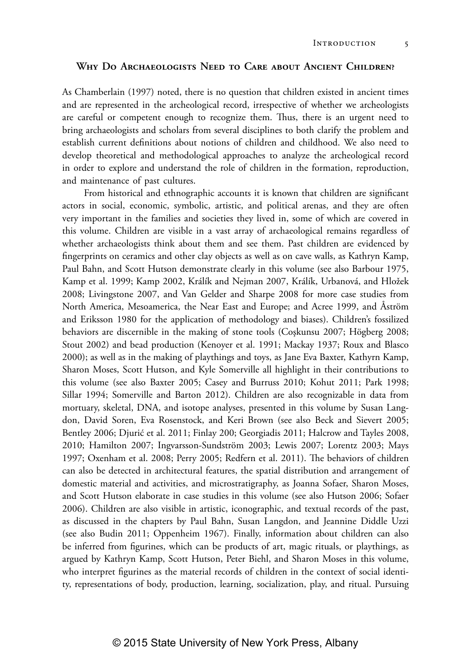### **Why Do Archaeologists Need to Care about Ancient Children?**

As Chamberlain (1997) noted, there is no question that children existed in ancient times and are represented in the archeological record, irrespective of whether we archeologists are careful or competent enough to recognize them. Thus, there is an urgent need to bring archaeologists and scholars from several disciplines to both clarify the problem and establish current definitions about notions of children and childhood. We also need to develop theoretical and methodological approaches to analyze the archeological record in order to explore and understand the role of children in the formation, reproduction, and maintenance of past cultures.

From historical and ethnographic accounts it is known that children are significant actors in social, economic, symbolic, artistic, and political arenas, and they are often very important in the families and societies they lived in, some of which are covered in this volume. Children are visible in a vast array of archaeological remains regardless of whether archaeologists think about them and see them. Past children are evidenced by fingerprints on ceramics and other clay objects as well as on cave walls, as Kathryn Kamp, Paul Bahn, and Scott Hutson demonstrate clearly in this volume (see also Barbour 1975, Kamp et al. 1999; Kamp 2002, Králík and Nejman 2007, Králík, Urbanová, and Hložek 2008; Livingstone 2007, and Van Gelder and Sharpe 2008 for more case studies from North America, Mesoamerica, the Near East and Europe; and Acree 1999, and Åström and Eriksson 1980 for the application of methodology and biases). Children's fossilized behaviors are discernible in the making of stone tools (Coşkunsu 2007; Högberg 2008; Stout 2002) and bead production (Kenoyer et al. 1991; Mackay 1937; Roux and Blasco 2000); as well as in the making of playthings and toys, as Jane Eva Baxter, Kathyrn Kamp, Sharon Moses, Scott Hutson, and Kyle Somerville all highlight in their contributions to this volume (see also Baxter 2005; Casey and Burruss 2010; Kohut 2011; Park 1998; Sillar 1994; Somerville and Barton 2012). Children are also recognizable in data from mortuary, skeletal, DNA, and isotope analyses, presented in this volume by Susan Langdon, David Soren, Eva Rosenstock, and Keri Brown (see also Beck and Sievert 2005; Bentley 2006; Djurić et al. 2011; Finlay 200; Georgiadis 2011; Halcrow and Tayles 2008, 2010; Hamilton 2007; Ingvarsson-Sundström 2003; Lewis 2007; Lorentz 2003; Mays 1997; Oxenham et al. 2008; Perry 2005; Redfern et al. 2011). The behaviors of children can also be detected in architectural features, the spatial distribution and arrangement of domestic material and activities, and microstratigraphy, as Joanna Sofaer, Sharon Moses, and Scott Hutson elaborate in case studies in this volume (see also Hutson 2006; Sofaer 2006). Children are also visible in artistic, iconographic, and textual records of the past, as discussed in the chapters by Paul Bahn, Susan Langdon, and Jeannine Diddle Uzzi (see also Budin 2011; Oppenheim 1967). Finally, information about children can also be inferred from figurines, which can be products of art, magic rituals, or playthings, as argued by Kathryn Kamp, Scott Hutson, Peter Biehl, and Sharon Moses in this volume, who interpret figurines as the material records of children in the context of social identity, representations of body, production, learning, socialization, play, and ritual. Pursuing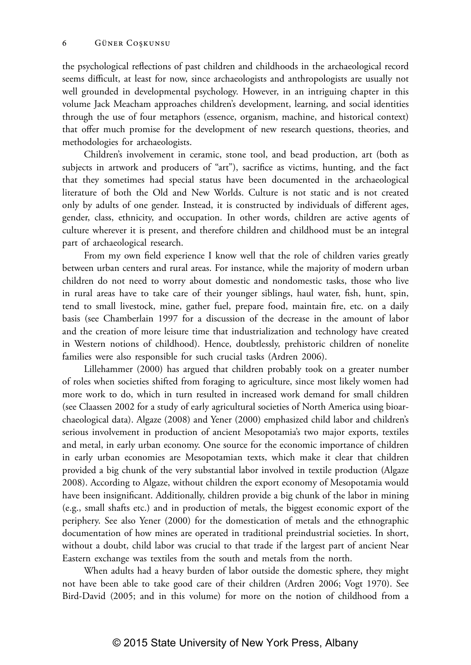the psychological reflections of past children and childhoods in the archaeological record seems difficult, at least for now, since archaeologists and anthropologists are usually not well grounded in developmental psychology. However, in an intriguing chapter in this volume Jack Meacham approaches children's development, learning, and social identities through the use of four metaphors (essence, organism, machine, and historical context) that offer much promise for the development of new research questions, theories, and methodologies for archaeologists.

Children's involvement in ceramic, stone tool, and bead production, art (both as subjects in artwork and producers of "art"), sacrifice as victims, hunting, and the fact that they sometimes had special status have been documented in the archaeological literature of both the Old and New Worlds. Culture is not static and is not created only by adults of one gender. Instead, it is constructed by individuals of different ages, gender, class, ethnicity, and occupation. In other words, children are active agents of culture wherever it is present, and therefore children and childhood must be an integral part of archaeological research.

From my own field experience I know well that the role of children varies greatly between urban centers and rural areas. For instance, while the majority of modern urban children do not need to worry about domestic and nondomestic tasks, those who live in rural areas have to take care of their younger siblings, haul water, fish, hunt, spin, tend to small livestock, mine, gather fuel, prepare food, maintain fire, etc. on a daily basis (see Chamberlain 1997 for a discussion of the decrease in the amount of labor and the creation of more leisure time that industrialization and technology have created in Western notions of childhood). Hence, doubtlessly, prehistoric children of nonelite families were also responsible for such crucial tasks (Ardren 2006).

Lillehammer (2000) has argued that children probably took on a greater number of roles when societies shifted from foraging to agriculture, since most likely women had more work to do, which in turn resulted in increased work demand for small children (see Claassen 2002 for a study of early agricultural societies of North America using bioarchaeological data). Algaze (2008) and Yener (2000) emphasized child labor and children's serious involvement in production of ancient Mesopotamia's two major exports, textiles and metal, in early urban economy. One source for the economic importance of children in early urban economies are Mesopotamian texts, which make it clear that children provided a big chunk of the very substantial labor involved in textile production (Algaze 2008). According to Algaze, without children the export economy of Mesopotamia would have been insignificant. Additionally, children provide a big chunk of the labor in mining (e.g., small shafts etc.) and in production of metals, the biggest economic export of the periphery. See also Yener (2000) for the domestication of metals and the ethnographic documentation of how mines are operated in traditional preindustrial societies. In short, without a doubt, child labor was crucial to that trade if the largest part of ancient Near Eastern exchange was textiles from the south and metals from the north.

When adults had a heavy burden of labor outside the domestic sphere, they might not have been able to take good care of their children (Ardren 2006; Vogt 1970). See Bird-David (2005; and in this volume) for more on the notion of childhood from a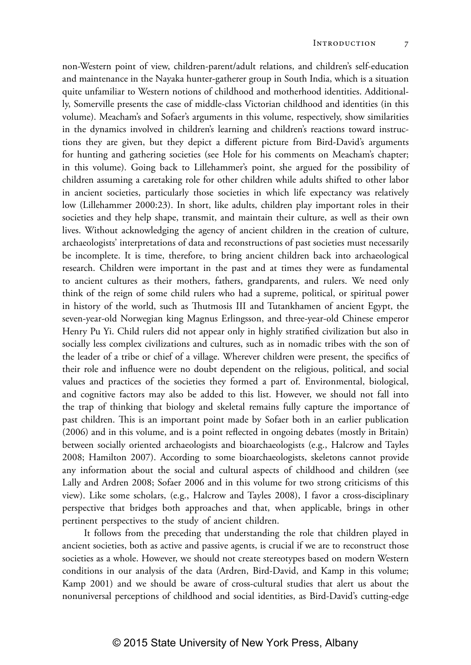non-Western point of view, children-parent/adult relations, and children's self-education and maintenance in the Nayaka hunter-gatherer group in South India, which is a situation quite unfamiliar to Western notions of childhood and motherhood identities. Additionally, Somerville presents the case of middle-class Victorian childhood and identities (in this volume). Meacham's and Sofaer's arguments in this volume, respectively, show similarities in the dynamics involved in children's learning and children's reactions toward instructions they are given, but they depict a different picture from Bird-David's arguments for hunting and gathering societies (see Hole for his comments on Meacham's chapter; in this volume). Going back to Lillehammer's point, she argued for the possibility of children assuming a caretaking role for other children while adults shifted to other labor in ancient societies, particularly those societies in which life expectancy was relatively low (Lillehammer 2000:23). In short, like adults, children play important roles in their societies and they help shape, transmit, and maintain their culture, as well as their own lives. Without acknowledging the agency of ancient children in the creation of culture, archaeologists' interpretations of data and reconstructions of past societies must necessarily be incomplete. It is time, therefore, to bring ancient children back into archaeological research. Children were important in the past and at times they were as fundamental to ancient cultures as their mothers, fathers, grandparents, and rulers. We need only think of the reign of some child rulers who had a supreme, political, or spiritual power in history of the world, such as Thutmosis III and Tutankhamen of ancient Egypt, the seven-year-old Norwegian king Magnus Erlingsson, and three-year-old Chinese emperor Henry Pu Yi. Child rulers did not appear only in highly stratified civilization but also in socially less complex civilizations and cultures, such as in nomadic tribes with the son of the leader of a tribe or chief of a village. Wherever children were present, the specifics of their role and influence were no doubt dependent on the religious, political, and social values and practices of the societies they formed a part of. Environmental, biological, and cognitive factors may also be added to this list. However, we should not fall into the trap of thinking that biology and skeletal remains fully capture the importance of past children. This is an important point made by Sofaer both in an earlier publication (2006) and in this volume, and is a point reflected in ongoing debates (mostly in Britain) between socially oriented archaeologists and bioarchaeologists (e.g., Halcrow and Tayles 2008; Hamilton 2007). According to some bioarchaeologists, skeletons cannot provide any information about the social and cultural aspects of childhood and children (see Lally and Ardren 2008; Sofaer 2006 and in this volume for two strong criticisms of this view). Like some scholars, (e.g., Halcrow and Tayles 2008), I favor a cross-disciplinary perspective that bridges both approaches and that, when applicable, brings in other pertinent perspectives to the study of ancient children.

It follows from the preceding that understanding the role that children played in ancient societies, both as active and passive agents, is crucial if we are to reconstruct those societies as a whole. However, we should not create stereotypes based on modern Western conditions in our analysis of the data (Ardren, Bird-David, and Kamp in this volume; Kamp 2001) and we should be aware of cross-cultural studies that alert us about the nonuniversal perceptions of childhood and social identities, as Bird-David's cutting-edge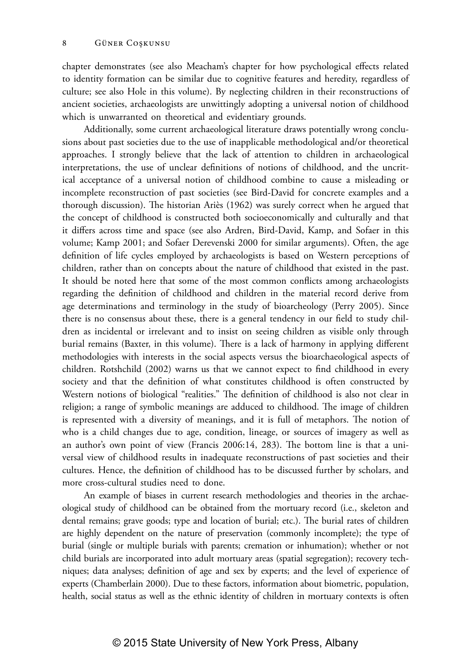chapter demonstrates (see also Meacham's chapter for how psychological effects related to identity formation can be similar due to cognitive features and heredity, regardless of culture; see also Hole in this volume). By neglecting children in their reconstructions of ancient societies, archaeologists are unwittingly adopting a universal notion of childhood which is unwarranted on theoretical and evidentiary grounds.

Additionally, some current archaeological literature draws potentially wrong conclusions about past societies due to the use of inapplicable methodological and/or theoretical approaches. I strongly believe that the lack of attention to children in archaeological interpretations, the use of unclear definitions of notions of childhood, and the uncritical acceptance of a universal notion of childhood combine to cause a misleading or incomplete reconstruction of past societies (see Bird-David for concrete examples and a thorough discussion). The historian Ariès (1962) was surely correct when he argued that the concept of childhood is constructed both socioeconomically and culturally and that it differs across time and space (see also Ardren, Bird-David, Kamp, and Sofaer in this volume; Kamp 2001; and Sofaer Derevenski 2000 for similar arguments). Often, the age definition of life cycles employed by archaeologists is based on Western perceptions of children, rather than on concepts about the nature of childhood that existed in the past. It should be noted here that some of the most common conflicts among archaeologists regarding the definition of childhood and children in the material record derive from age determinations and terminology in the study of bioarcheology (Perry 2005). Since there is no consensus about these, there is a general tendency in our field to study children as incidental or irrelevant and to insist on seeing children as visible only through burial remains (Baxter, in this volume). There is a lack of harmony in applying different methodologies with interests in the social aspects versus the bioarchaeological aspects of children. Rotshchild (2002) warns us that we cannot expect to find childhood in every society and that the definition of what constitutes childhood is often constructed by Western notions of biological "realities." The definition of childhood is also not clear in religion; a range of symbolic meanings are adduced to childhood. The image of children is represented with a diversity of meanings, and it is full of metaphors. The notion of who is a child changes due to age, condition, lineage, or sources of imagery as well as an author's own point of view (Francis 2006:14, 283). The bottom line is that a universal view of childhood results in inadequate reconstructions of past societies and their cultures. Hence, the definition of childhood has to be discussed further by scholars, and more cross-cultural studies need to done.

An example of biases in current research methodologies and theories in the archaeological study of childhood can be obtained from the mortuary record (i.e., skeleton and dental remains; grave goods; type and location of burial; etc.). The burial rates of children are highly dependent on the nature of preservation (commonly incomplete); the type of burial (single or multiple burials with parents; cremation or inhumation); whether or not child burials are incorporated into adult mortuary areas (spatial segregation); recovery techniques; data analyses; definition of age and sex by experts; and the level of experience of experts (Chamberlain 2000). Due to these factors, information about biometric, population, health, social status as well as the ethnic identity of children in mortuary contexts is often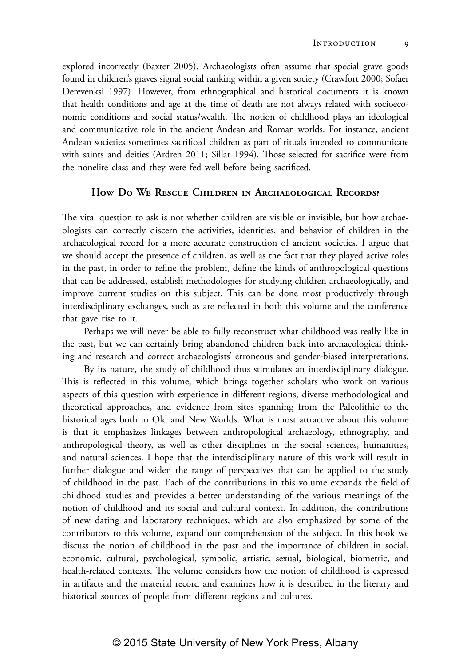explored incorrectly (Baxter 2005). Archaeologists often assume that special grave goods found in children's graves signal social ranking within a given society (Crawfort 2000; Sofaer Derevenksi 1997). However, from ethnographical and historical documents it is known that health conditions and age at the time of death are not always related with socioeconomic conditions and social status/wealth. The notion of childhood plays an ideological and communicative role in the ancient Andean and Roman worlds. For instance, ancient Andean societies sometimes sacrificed children as part of rituals intended to communicate with saints and deities (Ardren 2011; Sillar 1994). Those selected for sacrifice were from the nonelite class and they were fed well before being sacrificed.

## **How Do We Rescue Children in Archaeological Records?**

The vital question to ask is not whether children are visible or invisible, but how archaeologists can correctly discern the activities, identities, and behavior of children in the archaeological record for a more accurate construction of ancient societies. I argue that we should accept the presence of children, as well as the fact that they played active roles in the past, in order to refine the problem, define the kinds of anthropological questions that can be addressed, establish methodologies for studying children archaeologically, and improve current studies on this subject. This can be done most productively through interdisciplinary exchanges, such as are reflected in both this volume and the conference that gave rise to it.

Perhaps we will never be able to fully reconstruct what childhood was really like in the past, but we can certainly bring abandoned children back into archaeological thinking and research and correct archaeologists' erroneous and gender-biased interpretations.

By its nature, the study of childhood thus stimulates an interdisciplinary dialogue. This is reflected in this volume, which brings together scholars who work on various aspects of this question with experience in different regions, diverse methodological and theoretical approaches, and evidence from sites spanning from the Paleolithic to the historical ages both in Old and New Worlds. What is most attractive about this volume is that it emphasizes linkages between anthropological archaeology, ethnography, and anthropological theory, as well as other disciplines in the social sciences, humanities, and natural sciences. I hope that the interdisciplinary nature of this work will result in further dialogue and widen the range of perspectives that can be applied to the study of childhood in the past. Each of the contributions in this volume expands the field of childhood studies and provides a better understanding of the various meanings of the notion of childhood and its social and cultural context. In addition, the contributions of new dating and laboratory techniques, which are also emphasized by some of the contributors to this volume, expand our comprehension of the subject. In this book we discuss the notion of childhood in the past and the importance of children in social, economic, cultural, psychological, symbolic, artistic, sexual, biological, biometric, and health-related contexts. The volume considers how the notion of childhood is expressed in artifacts and the material record and examines how it is described in the literary and historical sources of people from different regions and cultures.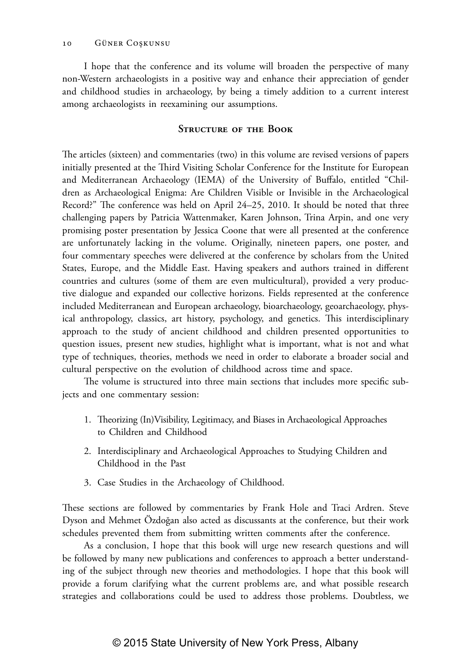I hope that the conference and its volume will broaden the perspective of many non-Western archaeologists in a positive way and enhance their appreciation of gender and childhood studies in archaeology, by being a timely addition to a current interest among archaeologists in reexamining our assumptions.

### **Structure of the Book**

The articles (sixteen) and commentaries (two) in this volume are revised versions of papers initially presented at the Third Visiting Scholar Conference for the Institute for European and Mediterranean Archaeology (IEMA) of the University of Buffalo, entitled "Children as Archaeological Enigma: Are Children Visible or Invisible in the Archaeological Record?" The conference was held on April 24–25, 2010. It should be noted that three challenging papers by Patricia Wattenmaker, Karen Johnson, Trina Arpin, and one very promising poster presentation by Jessica Coone that were all presented at the conference are unfortunately lacking in the volume. Originally, nineteen papers, one poster, and four commentary speeches were delivered at the conference by scholars from the United States, Europe, and the Middle East. Having speakers and authors trained in different countries and cultures (some of them are even multicultural), provided a very productive dialogue and expanded our collective horizons. Fields represented at the conference included Mediterranean and European archaeology, bioarchaeology, geoarchaeology, physical anthropology, classics, art history, psychology, and genetics. This interdisciplinary approach to the study of ancient childhood and children presented opportunities to question issues, present new studies, highlight what is important, what is not and what type of techniques, theories, methods we need in order to elaborate a broader social and cultural perspective on the evolution of childhood across time and space.

The volume is structured into three main sections that includes more specific subjects and one commentary session:

- 1. Theorizing (In)Visibility, Legitimacy, and Biases in Archaeological Approaches to Children and Childhood
- 2. Interdisciplinary and Archaeological Approaches to Studying Children and Childhood in the Past
- 3. Case Studies in the Archaeology of Childhood.

These sections are followed by commentaries by Frank Hole and Traci Ardren. Steve Dyson and Mehmet Özdoğan also acted as discussants at the conference, but their work schedules prevented them from submitting written comments after the conference.

As a conclusion, I hope that this book will urge new research questions and will be followed by many new publications and conferences to approach a better understanding of the subject through new theories and methodologies. I hope that this book will provide a forum clarifying what the current problems are, and what possible research strategies and collaborations could be used to address those problems. Doubtless, we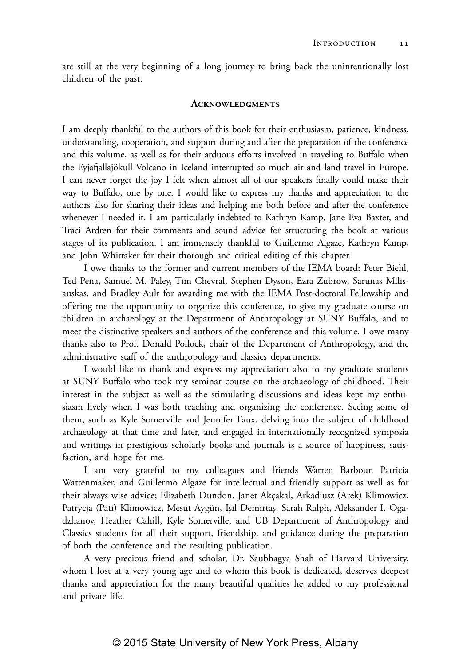are still at the very beginning of a long journey to bring back the unintentionally lost children of the past.

#### **Acknowledgments**

I am deeply thankful to the authors of this book for their enthusiasm, patience, kindness, understanding, cooperation, and support during and after the preparation of the conference and this volume, as well as for their arduous efforts involved in traveling to Buffalo when the Eyjafjallajökull Volcano in Iceland interrupted so much air and land travel in Europe. I can never forget the joy I felt when almost all of our speakers finally could make their way to Buffalo, one by one. I would like to express my thanks and appreciation to the authors also for sharing their ideas and helping me both before and after the conference whenever I needed it. I am particularly indebted to Kathryn Kamp, Jane Eva Baxter, and Traci Ardren for their comments and sound advice for structuring the book at various stages of its publication. I am immensely thankful to Guillermo Algaze, Kathryn Kamp, and John Whittaker for their thorough and critical editing of this chapter.

I owe thanks to the former and current members of the IEMA board: Peter Biehl, Ted Pena, Samuel M. Paley, Tim Chevral, Stephen Dyson, Ezra Zubrow, Sarunas Milisauskas, and Bradley Ault for awarding me with the IEMA Post-doctoral Fellowship and offering me the opportunity to organize this conference, to give my graduate course on children in archaeology at the Department of Anthropology at SUNY Buffalo, and to meet the distinctive speakers and authors of the conference and this volume. I owe many thanks also to Prof. Donald Pollock, chair of the Department of Anthropology, and the administrative staff of the anthropology and classics departments.

I would like to thank and express my appreciation also to my graduate students at SUNY Buffalo who took my seminar course on the archaeology of childhood. Their interest in the subject as well as the stimulating discussions and ideas kept my enthusiasm lively when I was both teaching and organizing the conference. Seeing some of them, such as Kyle Somerville and Jennifer Faux, delving into the subject of childhood archaeology at that time and later, and engaged in internationally recognized symposia and writings in prestigious scholarly books and journals is a source of happiness, satisfaction, and hope for me.

I am very grateful to my colleagues and friends Warren Barbour, Patricia Wattenmaker, and Guillermo Algaze for intellectual and friendly support as well as for their always wise advice; Elizabeth Dundon, Janet Akçakal, Arkadiusz (Arek) Klimowicz, Patrycja (Pati) Klimowicz, Mesut Aygün, Işıl Demirtaş, Sarah Ralph, Aleksander I. Ogadzhanov, Heather Cahill, Kyle Somerville, and UB Department of Anthropology and Classics students for all their support, friendship, and guidance during the preparation of both the conference and the resulting publication.

A very precious friend and scholar, Dr. Saubhagya Shah of Harvard University, whom I lost at a very young age and to whom this book is dedicated, deserves deepest thanks and appreciation for the many beautiful qualities he added to my professional and private life.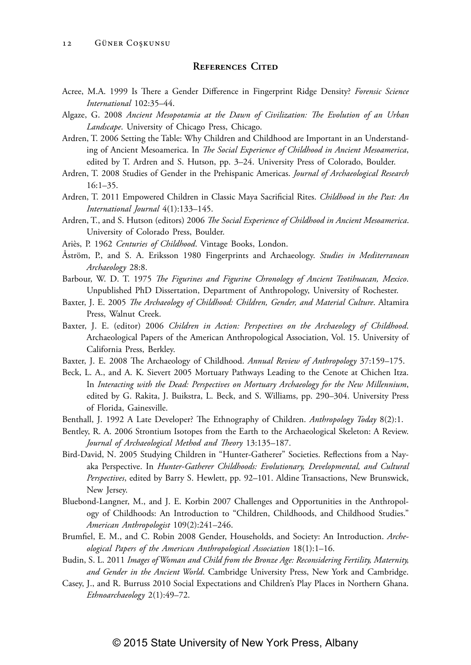#### **References Cited**

Acree, M.A. 1999 Is There a Gender Difference in Fingerprint Ridge Density? *Forensic Science International* 102:35–44.

Algaze, G. 2008 *Ancient Mesopotamia at the Dawn of Civilization: The Evolution of an Urban Landscape*. University of Chicago Press, Chicago.

- Ardren, T. 2006 Setting the Table: Why Children and Childhood are Important in an Understanding of Ancient Mesoamerica. In *The Social Experience of Childhood in Ancient Mesoamerica*, edited by T. Ardren and S. Hutson, pp. 3–24. University Press of Colorado, Boulder.
- Ardren, T. 2008 Studies of Gender in the Prehispanic Americas. *Journal of Archaeological Research* 16:1–35.
- Ardren, T. 2011 Empowered Children in Classic Maya Sacrificial Rites. *Childhood in the Past: An International Journal* 4(1):133–145.
- Ardren, T., and S. Hutson (editors) 2006 *The Social Experience of Childhood in Ancient Mesoamerica*. University of Colorado Press, Boulder.
- Ariès, P. 1962 *Centuries of Childhood*. Vintage Books, London.
- Åström, P., and S. A. Eriksson 1980 Fingerprints and Archaeology. *Studies in Mediterranean Archaeology* 28:8.
- Barbour, W. D. T. 1975 *The Figurines and Figurine Chronology of Ancient Teotihuacan, Mexico*. Unpublished PhD Dissertation, Department of Anthropology, University of Rochester.
- Baxter, J. E. 2005 *The Archaeology of Childhood: Children, Gender, and Material Culture*. Altamira Press, Walnut Creek.
- Baxter, J. E. (editor) 2006 *Children in Action: Perspectives on the Archaeology of Childhood*. Archaeological Papers of the American Anthropological Association, Vol. 15. University of California Press, Berkley.
- Baxter, J. E. 2008 The Archaeology of Childhood. *Annual Review of Anthropology* 37:159–175.
- Beck, L. A., and A. K. Sievert 2005 Mortuary Pathways Leading to the Cenote at Chichen Itza. In *Interacting with the Dead: Perspectives on Mortuary Archaeology for the New Millennium*, edited by G. Rakita, J. Buikstra, L. Beck, and S. Williams, pp. 290–304. University Press of Florida, Gainesville.
- Benthall, J. 1992 A Late Developer? The Ethnography of Children. *Anthropology Today* 8(2):1.
- Bentley, R. A. 2006 Strontium Isotopes from the Earth to the Archaeological Skeleton: A Review. *Journal of Archaeological Method and Theory* 13:135–187.
- Bird-David, N. 2005 Studying Children in "Hunter-Gatherer" Societies. Reflections from a Nayaka Perspective. In *Hunter-Gatherer Childhoods: Evolutionary, Developmental, and Cultural Perspectives*, edited by Barry S. Hewlett, pp. 92–101. Aldine Transactions, New Brunswick, New Jersey.
- Bluebond-Langner, M., and J. E. Korbin 2007 Challenges and Opportunities in the Anthropology of Childhoods: An Introduction to "Children, Childhoods, and Childhood Studies." *American Anthropologist* 109(2):241–246.
- Brumfiel, E. M., and C. Robin 2008 Gender, Households, and Society: An Introduction. *Archeological Papers of the American Anthropological Association* 18(1):1–16.
- Budin, S. L. 2011 *Images of Woman and Child from the Bronze Age: Reconsidering Fertility, Maternity, and Gender in the Ancient World*. Cambridge University Press, New York and Cambridge.
- Casey, J., and R. Burruss 2010 Social Expectations and Children's Play Places in Northern Ghana. *Ethnoarchaeology* 2(1):49–72.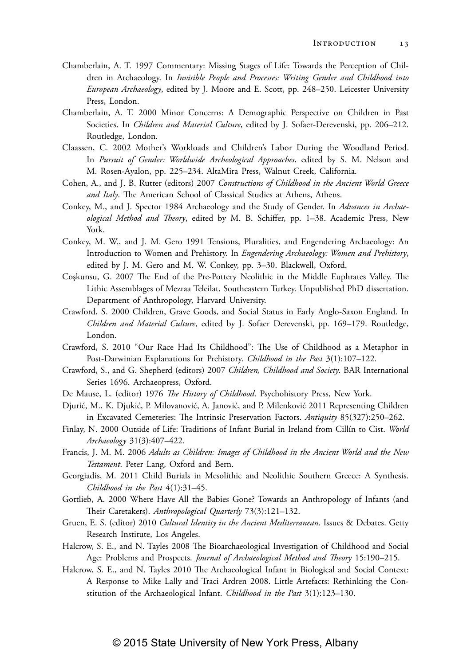- Chamberlain, A. T. 1997 Commentary: Missing Stages of Life: Towards the Perception of Children in Archaeology. In *Invisible People and Processes: Writing Gender and Childhood into European Archaeology*, edited by J. Moore and E. Scott, pp. 248–250. Leicester University Press, London.
- Chamberlain, A. T. 2000 Minor Concerns: A Demographic Perspective on Children in Past Societies. In *Children and Material Culture*, edited by J. Sofaer-Derevenski, pp. 206–212. Routledge, London.
- Claassen, C. 2002 Mother's Workloads and Children's Labor During the Woodland Period. In *Pursuit of Gender: Worldwide Archeological Approaches*, edited by S. M. Nelson and M. Rosen-Ayalon, pp. 225–234. AltaMira Press, Walnut Creek, California.
- Cohen, A., and J. B. Rutter (editors) 2007 *Constructions of Childhood in the Ancient World Greece and Italy*. The American School of Classical Studies at Athens, Athens.
- Conkey, M., and J. Spector 1984 Archaeology and the Study of Gender. In *Advances in Archaeological Method and Theory*, edited by M. B. Schiffer, pp. 1–38. Academic Press, New York.
- Conkey, M. W., and J. M. Gero 1991 Tensions, Pluralities, and Engendering Archaeology: An Introduction to Women and Prehistory. In *Engendering Archaeology: Women and Prehistory*, edited by J. M. Gero and M. W. Conkey, pp. 3–30. Blackwell, Oxford.
- Coşkunsu, G. 2007 The End of the Pre-Pottery Neolithic in the Middle Euphrates Valley. The Lithic Assemblages of Mezraa Teleilat, Southeastern Turkey. Unpublished PhD dissertation. Department of Anthropology, Harvard University.
- Crawford, S. 2000 Children, Grave Goods, and Social Status in Early Anglo-Saxon England. In *Children and Material Culture*, edited by J. Sofaer Derevenski, pp. 169–179. Routledge, London.
- Crawford, S. 2010 "Our Race Had Its Childhood": The Use of Childhood as a Metaphor in Post-Darwinian Explanations for Prehistory. *Childhood in the Past* 3(1):107–122.
- Crawford, S., and G. Shepherd (editors) 2007 *Children, Childhood and Society*. BAR International Series 1696. Archaeopress, Oxford.
- De Mause, L. (editor) 1976 *The History of Childhood*. Psychohistory Press, New York.
- Djurić, M., K. Djukić, P. Milovanović, A. Janović, and P. Milenković 2011 Representing Children in Excavated Cemeteries: The Intrinsic Preservation Factors. *Antiquity* 85(327):250–262.
- Finlay, N. 2000 Outside of Life: Traditions of Infant Burial in Ireland from Cillín to Cist. *World Archaeology* 31(3):407–422.
- Francis, J. M. M. 2006 *Adults as Children: Images of Childhood in the Ancient World and the New Testament*. Peter Lang, Oxford and Bern.
- Georgiadis, M. 2011 Child Burials in Mesolithic and Neolithic Southern Greece: A Synthesis. *Childhood in the Past* 4(1):31–45.
- Gottlieb, A. 2000 Where Have All the Babies Gone? Towards an Anthropology of Infants (and Their Caretakers). *Anthropological Quarterly* 73(3):121–132.
- Gruen, E. S. (editor) 2010 *Cultural Identity in the Ancient Mediterranean*. Issues & Debates. Getty Research Institute, Los Angeles.
- Halcrow, S. E., and N. Tayles 2008 The Bioarchaeological Investigation of Childhood and Social Age: Problems and Prospects. *Journal of Archaeological Method and Theory* 15:190–215.
- Halcrow, S. E., and N. Tayles 2010 The Archaeological Infant in Biological and Social Context: A Response to Mike Lally and Traci Ardren 2008. Little Artefacts: Rethinking the Constitution of the Archaeological Infant. *Childhood in the Past* 3(1):123–130.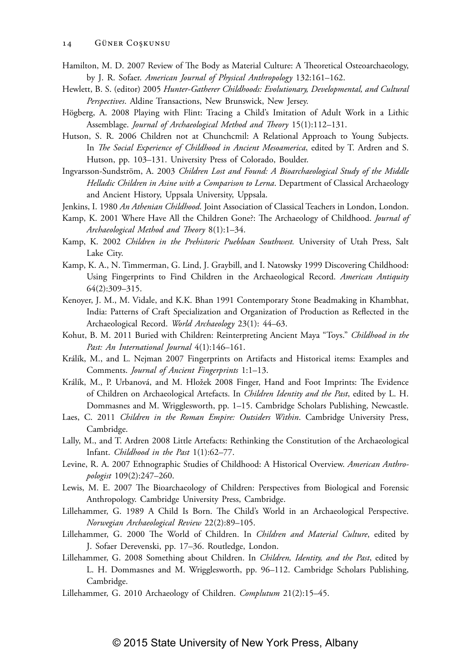- Hamilton, M. D. 2007 Review of The Body as Material Culture: A Theoretical Osteoarchaeology, by J. R. Sofaer. *American Journal of Physical Anthropology* 132:161–162.
- Hewlett, B. S. (editor) 2005 *Hunter-Gatherer Childhoods: Evolutionary, Developmental, and Cultural Perspectives*. Aldine Transactions, New Brunswick, New Jersey.
- Högberg, A. 2008 Playing with Flint: Tracing a Child's Imitation of Adult Work in a Lithic Assemblage. *Journal of Archaeological Method and Theory* 15(1):112–131.
- Hutson, S. R. 2006 Children not at Chunchcmil: A Relational Approach to Young Subjects. In *The Social Experience of Childhood in Ancient Mesoamerica*, edited by T. Ardren and S. Hutson, pp. 103–131. University Press of Colorado, Boulder.
- Ingvarsson-Sundström, A. 2003 *Children Lost and Found: A Bioarchaeological Study of the Middle Helladic Children in Asine with a Comparison to Lerna*. Department of Classical Archaeology and Ancient History, Uppsala University, Uppsala.
- Jenkins, I. 1980 *An Athenian Childhood*. Joint Association of Classical Teachers in London, London.
- Kamp, K. 2001 Where Have All the Children Gone?: The Archaeology of Childhood. *Journal of Archaeological Method and Theory* 8(1):1–34.
- Kamp, K. 2002 *Children in the Prehistoric Puebloan Southwest.* University of Utah Press, Salt Lake City.
- Kamp, K. A., N. Timmerman, G. Lind, J. Graybill, and I. Natowsky 1999 Discovering Childhood: Using Fingerprints to Find Children in the Archaeological Record. *American Antiquity* 64(2):309–315.
- Kenoyer, J. M., M. Vidale, and K.K. Bhan 1991 Contemporary Stone Beadmaking in Khambhat, India: Patterns of Craft Specialization and Organization of Production as Reflected in the Archaeological Record. *World Archaeology* 23(1): 44–63.
- Kohut, B. M. 2011 Buried with Children: Reinterpreting Ancient Maya "Toys." *Childhood in the Past: An International Journal* 4(1):146–161.
- Králík, M., and L. Nejman 2007 Fingerprints on Artifacts and Historical items: Examples and Comments. *Journal of Ancient Fingerprints* 1:1–13.
- Králík, M., P. Urbanová, and M. Hložek 2008 Finger, Hand and Foot Imprints: The Evidence of Children on Archaeological Artefacts. In *Children Identity and the Past*, edited by L. H. Dommasnes and M. Wrigglesworth, pp. 1–15. Cambridge Scholars Publishing, Newcastle.
- Laes, C. 2011 *Children in the Roman Empire: Outsiders Within*. Cambridge University Press, Cambridge.
- Lally, M., and T. Ardren 2008 Little Artefacts: Rethinking the Constitution of the Archaeological Infant. *Childhood in the Past* 1(1):62–77.
- Levine, R. A. 2007 Ethnographic Studies of Childhood: A Historical Overview. *American Anthropologist* 109(2):247–260.
- Lewis, M. E. 2007 The Bioarchaeology of Children: Perspectives from Biological and Forensic Anthropology. Cambridge University Press, Cambridge.
- Lillehammer, G. 1989 A Child Is Born. The Child's World in an Archaeological Perspective. *Norwegian Archaeological Review* 22(2):89–105.
- Lillehammer, G. 2000 The World of Children. In *Children and Material Culture*, edited by J. Sofaer Derevenski, pp. 17–36. Routledge, London.
- Lillehammer, G. 2008 Something about Children. In *Children, Identity, and the Past*, edited by L. H. Dommasnes and M. Wrigglesworth, pp. 96–112. Cambridge Scholars Publishing, Cambridge.
- Lillehammer, G. 2010 Archaeology of Children. *Complutum* 21(2):15–45.

### © 2015 State University of New York Press, Albany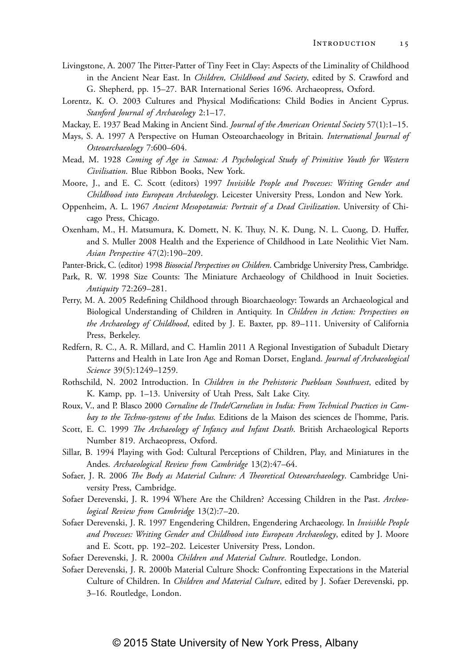- Livingstone, A. 2007 The Pitter-Patter of Tiny Feet in Clay: Aspects of the Liminality of Childhood in the Ancient Near East. In *Children, Childhood and Society*, edited by S. Crawford and G. Shepherd, pp. 15–27. BAR International Series 1696. Archaeopress, Oxford.
- Lorentz, K. O. 2003 Cultures and Physical Modifications: Child Bodies in Ancient Cyprus. *Stanford Journal of Archaeology* 2:1–17.
- Mackay, E. 1937 Bead Making in Ancient Sind. *Journal of the American Oriental Society* 57(1):1–15.
- Mays, S. A. 1997 A Perspective on Human Osteoarchaeology in Britain*. International Journal of Osteoarchaeology* 7:600–604.
- Mead, M. 1928 *Coming of Age in Samoa: A Psychological Study of Primitive Youth for Western Civilisation*. Blue Ribbon Books, New York.
- Moore, J., and E. C. Scott (editors) 1997 *Invisible People and Processes: Writing Gender and Childhood into European Archaeology*. Leicester University Press, London and New York.
- Oppenheim, A. L. 1967 *Ancient Mesopotamia: Portrait of a Dead Civilization*. University of Chicago Press, Chicago.
- Oxenham, M., H. Matsumura, K. Domett, N. K. Thuy, N. K. Dung, N. L. Cuong, D. Huffer, and S. Muller 2008 Health and the Experience of Childhood in Late Neolithic Viet Nam. *Asian Perspective* 47(2):190–209.
- Panter-Brick, C. (editor) 1998 *Biosocial Perspectives on Children*. Cambridge University Press, Cambridge.
- Park, R. W. 1998 Size Counts: The Miniature Archaeology of Childhood in Inuit Societies. *Antiquity* 72:269–281.
- Perry, M. A. 2005 Redefining Childhood through Bioarchaeology: Towards an Archaeological and Biological Understanding of Children in Antiquity. In *Children in Action: Perspectives on the Archaeology of Childhood*, edited by J. E. Baxter, pp. 89–111. University of California Press, Berkeley.
- Redfern, R. C., A. R. Millard, and C. Hamlin 2011 A Regional Investigation of Subadult Dietary Patterns and Health in Late Iron Age and Roman Dorset, England. *Journal of Archaeological Science* 39(5):1249–1259.
- Rothschild, N. 2002 Introduction. In *Children in the Prehistoric Puebloan Southwest*, edited by K. Kamp, pp. 1–13. University of Utah Press, Salt Lake City.
- Roux, V., and P. Blasco 2000 *Cornaline de l'Inde/Carnelian in India: From Technical Practices in Cambay to the Techno-systems of the Indus.* Editions de la Maison des sciences de l'homme, Paris.
- Scott, E. C. 1999 *The Archaeology of Infancy and Infant Death*. British Archaeological Reports Number 819. Archaeopress, Oxford.
- Sillar, B. 1994 Playing with God: Cultural Perceptions of Children, Play, and Miniatures in the Andes. *Archaeological Review from Cambridge* 13(2):47–64.
- Sofaer, J. R. 2006 *The Body as Material Culture: A Theoretical Osteoarchaeology*. Cambridge University Press, Cambridge.
- Sofaer Derevenski, J. R. 1994 Where Are the Children? Accessing Children in the Past. *Archeological Review from Cambridge* 13(2):7–20.
- Sofaer Derevenski, J. R. 1997 Engendering Children, Engendering Archaeology. In *Invisible People and Processes: Writing Gender and Childhood into European Archaeology*, edited by J. Moore and E. Scott, pp. 192–202. Leicester University Press, London.
- Sofaer Derevenski, J. R. 2000a *Children and Material Culture*. Routledge, London.
- Sofaer Derevenski, J. R. 2000b Material Culture Shock: Confronting Expectations in the Material Culture of Children. In *Children and Material Culture*, edited by J. Sofaer Derevenski, pp. 3–16. Routledge, London.